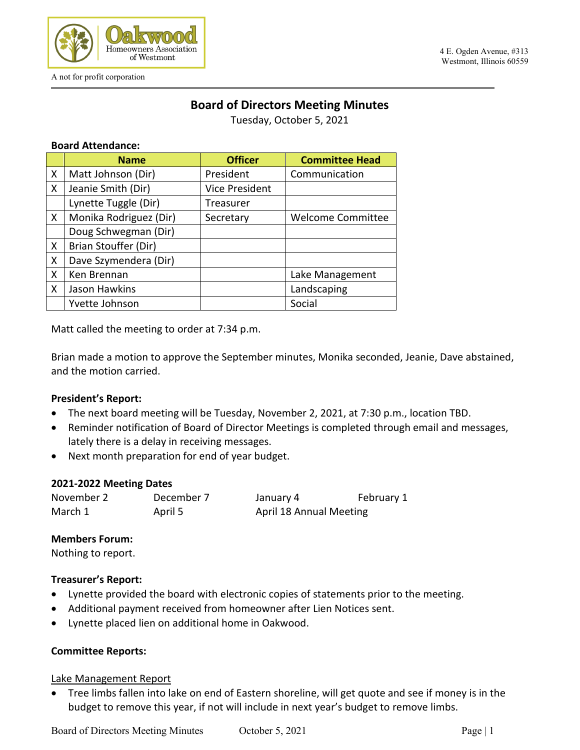

# **Board of Directors Meeting Minutes**

Tuesday, October 5, 2021

#### **Board Attendance:**

|   | <b>Name</b>            | <b>Officer</b>        | <b>Committee Head</b>    |
|---|------------------------|-----------------------|--------------------------|
| X | Matt Johnson (Dir)     | President             | Communication            |
| X | Jeanie Smith (Dir)     | <b>Vice President</b> |                          |
|   | Lynette Tuggle (Dir)   | Treasurer             |                          |
| X | Monika Rodriguez (Dir) | Secretary             | <b>Welcome Committee</b> |
|   | Doug Schwegman (Dir)   |                       |                          |
| X | Brian Stouffer (Dir)   |                       |                          |
| X | Dave Szymendera (Dir)  |                       |                          |
| X | Ken Brennan            |                       | Lake Management          |
| X | Jason Hawkins          |                       | Landscaping              |
|   | Yvette Johnson         |                       | Social                   |

Matt called the meeting to order at 7:34 p.m.

Brian made a motion to approve the September minutes, Monika seconded, Jeanie, Dave abstained, and the motion carried.

#### **President's Report:**

- The next board meeting will be Tuesday, November 2, 2021, at 7:30 p.m., location TBD.
- Reminder notification of Board of Director Meetings is completed through email and messages, lately there is a delay in receiving messages.
- Next month preparation for end of year budget.

#### **2021-2022 Meeting Dates**

| November 2 | December 7 | January 4                      | February 1 |
|------------|------------|--------------------------------|------------|
| March 1    | April 5    | <b>April 18 Annual Meeting</b> |            |

# **Members Forum:**

Nothing to report.

#### **Treasurer's Report:**

- Lynette provided the board with electronic copies of statements prior to the meeting.
- Additional payment received from homeowner after Lien Notices sent.
- Lynette placed lien on additional home in Oakwood.

#### **Committee Reports:**

#### Lake Management Report

• Tree limbs fallen into lake on end of Eastern shoreline, will get quote and see if money is in the budget to remove this year, if not will include in next year's budget to remove limbs.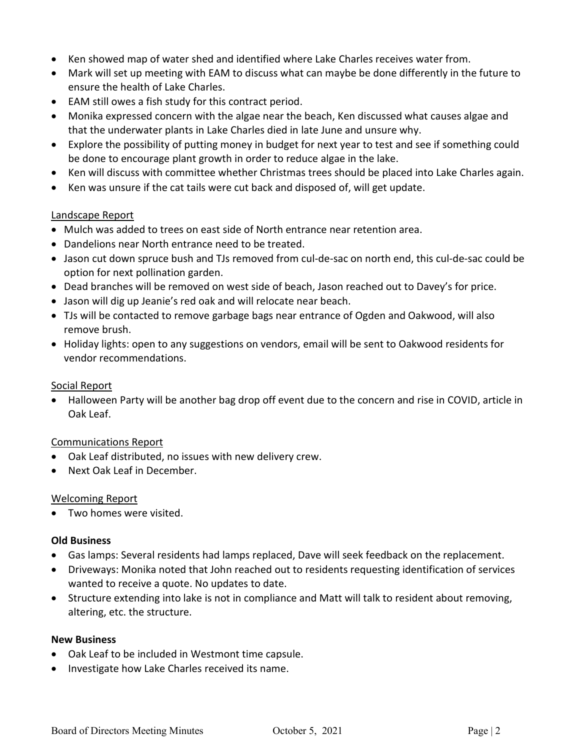- Ken showed map of water shed and identified where Lake Charles receives water from.
- Mark will set up meeting with EAM to discuss what can maybe be done differently in the future to ensure the health of Lake Charles.
- EAM still owes a fish study for this contract period.
- Monika expressed concern with the algae near the beach, Ken discussed what causes algae and that the underwater plants in Lake Charles died in late June and unsure why.
- Explore the possibility of putting money in budget for next year to test and see if something could be done to encourage plant growth in order to reduce algae in the lake.
- Ken will discuss with committee whether Christmas trees should be placed into Lake Charles again.
- Ken was unsure if the cat tails were cut back and disposed of, will get update.

# Landscape Report

- Mulch was added to trees on east side of North entrance near retention area.
- Dandelions near North entrance need to be treated.
- Jason cut down spruce bush and TJs removed from cul-de-sac on north end, this cul-de-sac could be option for next pollination garden.
- Dead branches will be removed on west side of beach, Jason reached out to Davey's for price.
- Jason will dig up Jeanie's red oak and will relocate near beach.
- TJs will be contacted to remove garbage bags near entrance of Ogden and Oakwood, will also remove brush.
- Holiday lights: open to any suggestions on vendors, email will be sent to Oakwood residents for vendor recommendations.

# Social Report

• Halloween Party will be another bag drop off event due to the concern and rise in COVID, article in Oak Leaf.

# Communications Report

- Oak Leaf distributed, no issues with new delivery crew.
- Next Oak Leaf in December.

# Welcoming Report

• Two homes were visited.

# **Old Business**

- Gas lamps: Several residents had lamps replaced, Dave will seek feedback on the replacement.
- Driveways: Monika noted that John reached out to residents requesting identification of services wanted to receive a quote. No updates to date.
- Structure extending into lake is not in compliance and Matt will talk to resident about removing, altering, etc. the structure.

# **New Business**

- Oak Leaf to be included in Westmont time capsule.
- Investigate how Lake Charles received its name.